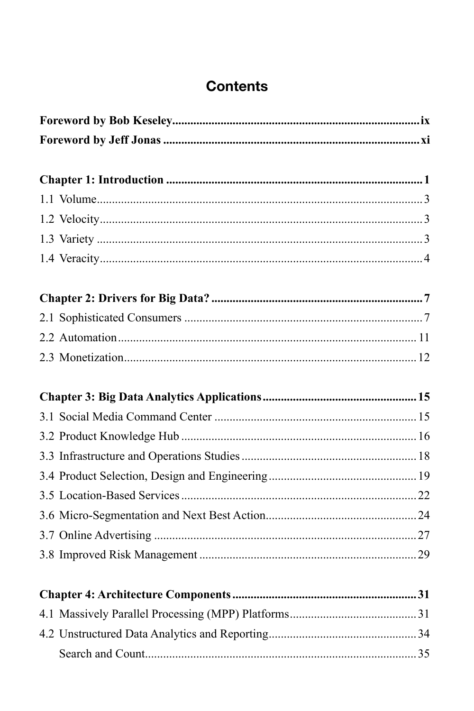## **Contents**